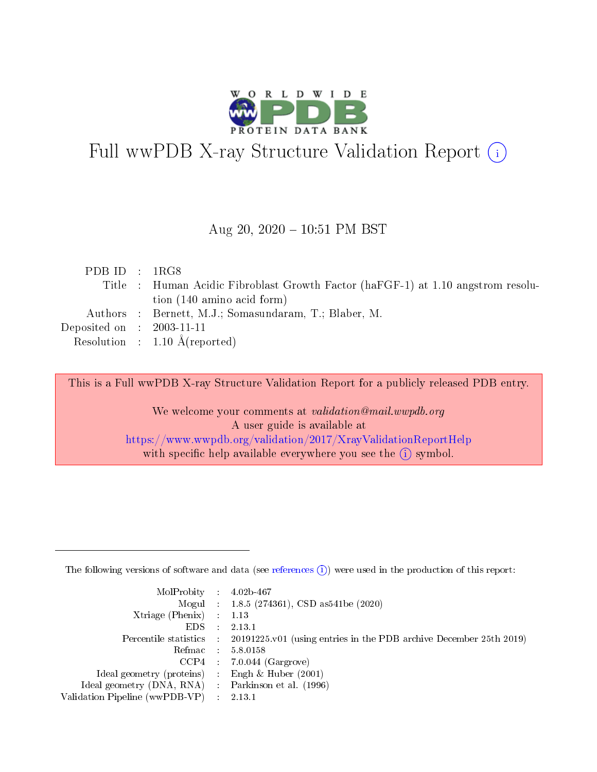

# Full wwPDB X-ray Structure Validation Report (i)

#### Aug 20,  $2020 - 10:51$  PM BST

| PDBID : 1RG8                |                                                                                  |
|-----------------------------|----------------------------------------------------------------------------------|
|                             | Title : Human Acidic Fibroblast Growth Factor (haFGF-1) at 1.10 angstrom resolu- |
|                             | tion $(140 \text{ amino acid form})$                                             |
|                             | Authors : Bernett, M.J.; Somasundaram, T.; Blaber, M.                            |
| Deposited on : $2003-11-11$ |                                                                                  |
|                             | Resolution : $1.10 \text{ Å}$ (reported)                                         |

This is a Full wwPDB X-ray Structure Validation Report for a publicly released PDB entry.

We welcome your comments at validation@mail.wwpdb.org A user guide is available at <https://www.wwpdb.org/validation/2017/XrayValidationReportHelp> with specific help available everywhere you see the  $(i)$  symbol.

The following versions of software and data (see [references](https://www.wwpdb.org/validation/2017/XrayValidationReportHelp#references)  $(1)$ ) were used in the production of this report:

| MolProbity : $4.02b-467$                          |                             |                                                                                            |
|---------------------------------------------------|-----------------------------|--------------------------------------------------------------------------------------------|
|                                                   |                             | Mogul : $1.8.5$ (274361), CSD as 541be (2020)                                              |
| Xtriage (Phenix) $: 1.13$                         |                             |                                                                                            |
| EDS.                                              | $\mathcal{L}$               | 2.13.1                                                                                     |
|                                                   |                             | Percentile statistics : 20191225.v01 (using entries in the PDB archive December 25th 2019) |
| Refmac : 5.8.0158                                 |                             |                                                                                            |
|                                                   |                             | $CCP4$ 7.0.044 (Gargrove)                                                                  |
| Ideal geometry (proteins)                         | $\mathcal{L}_{\mathcal{L}}$ | Engh $\&$ Huber (2001)                                                                     |
| Ideal geometry (DNA, RNA) Parkinson et al. (1996) |                             |                                                                                            |
| Validation Pipeline (wwPDB-VP) : 2.13.1           |                             |                                                                                            |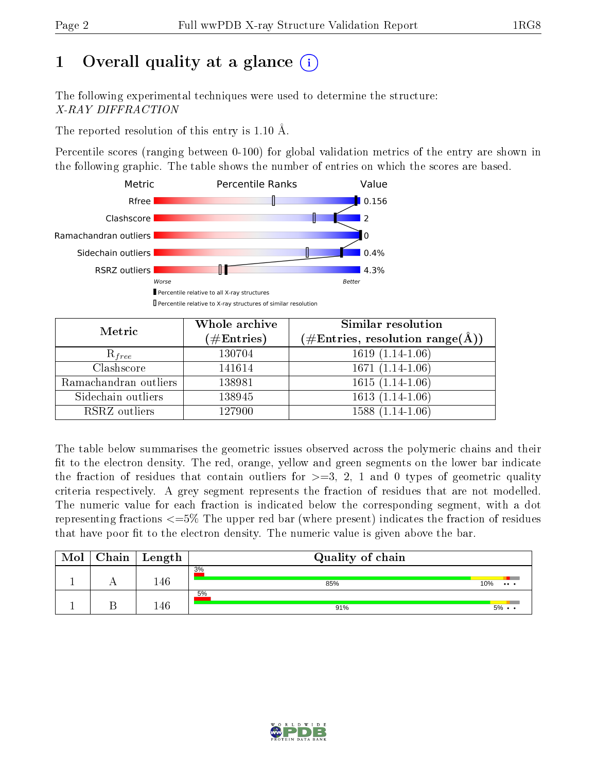# 1 [O](https://www.wwpdb.org/validation/2017/XrayValidationReportHelp#overall_quality)verall quality at a glance  $(i)$

The following experimental techniques were used to determine the structure: X-RAY DIFFRACTION

The reported resolution of this entry is 1.10 Å.

Percentile scores (ranging between 0-100) for global validation metrics of the entry are shown in the following graphic. The table shows the number of entries on which the scores are based.



| Metric                | Whole archive<br>$(\#\mathrm{Entries})$ | Similar resolution<br>$(\#\text{Entries}, \text{resolution range}(\text{\AA}))$ |  |  |
|-----------------------|-----------------------------------------|---------------------------------------------------------------------------------|--|--|
| $R_{free}$            | 130704                                  | $1619(1.14-1.06)$                                                               |  |  |
| Clashscore            | 141614                                  | $1671(1.14-1.06)$                                                               |  |  |
| Ramachandran outliers | 138981                                  | $1615(1.14-1.06)$                                                               |  |  |
| Sidechain outliers    | 138945                                  | $1613(1.14-1.06)$                                                               |  |  |
| RSRZ outliers         | 127900                                  | $1588(1.14-1.06)$                                                               |  |  |

The table below summarises the geometric issues observed across the polymeric chains and their fit to the electron density. The red, orange, yellow and green segments on the lower bar indicate the fraction of residues that contain outliers for  $>=3, 2, 1$  and 0 types of geometric quality criteria respectively. A grey segment represents the fraction of residues that are not modelled. The numeric value for each fraction is indicated below the corresponding segment, with a dot representing fractions  $\epsilon=5\%$  The upper red bar (where present) indicates the fraction of residues that have poor fit to the electron density. The numeric value is given above the bar.

| Mol | Chain | $\vert$ Length | Quality of chain |                   |
|-----|-------|----------------|------------------|-------------------|
|     |       | 146            | 3%<br>85%        | 10%<br>$\cdots$   |
|     |       | 146            | 5%<br>91%        | $5\% \cdot \cdot$ |

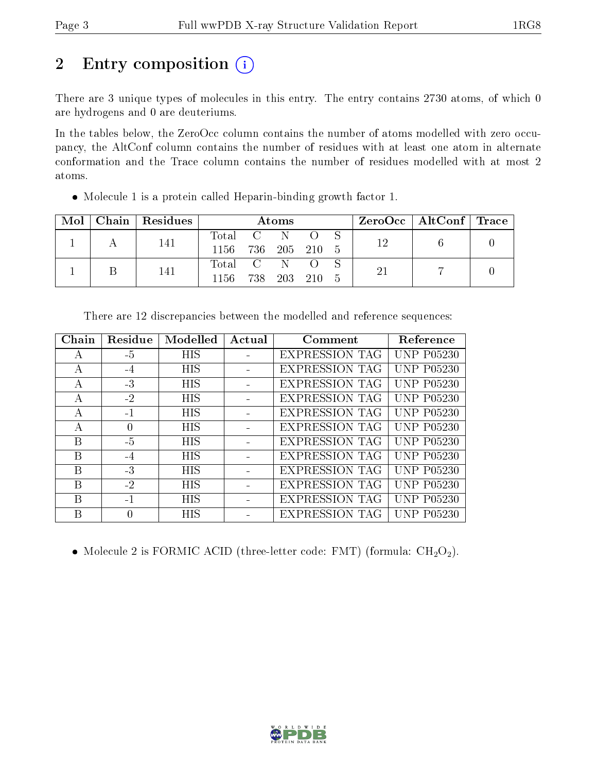# 2 Entry composition (i)

There are 3 unique types of molecules in this entry. The entry contains 2730 atoms, of which 0 are hydrogens and 0 are deuteriums.

In the tables below, the ZeroOcc column contains the number of atoms modelled with zero occupancy, the AltConf column contains the number of residues with at least one atom in alternate conformation and the Trace column contains the number of residues modelled with at most 2 atoms.

| Mol | Chain Residues | <b>Atoms</b>       |  |  |  |  |    | ZeroOcc   AltConf   Trace |  |
|-----|----------------|--------------------|--|--|--|--|----|---------------------------|--|
|     | 141            | Total C N O        |  |  |  |  | 19 |                           |  |
|     |                | 1156 736 205 210 5 |  |  |  |  |    |                           |  |
|     | 141            | Total C N O        |  |  |  |  |    |                           |  |
|     |                | 1156 738 203 210 5 |  |  |  |  |    |                           |  |

Molecule 1 is a protein called Heparin-binding growth factor 1.

| Chain         | Residue | Modelled   | Actual | Comment               | Reference         |
|---------------|---------|------------|--------|-----------------------|-------------------|
| А             | -5      | HIS        |        | <b>EXPRESSION TAG</b> | UNP P05230        |
| А             | $-4$    | <b>HIS</b> |        | <b>EXPRESSION TAG</b> | <b>UNP P05230</b> |
| A             | $-3$    | <b>HIS</b> |        | <b>EXPRESSION TAG</b> | <b>UNP P05230</b> |
| А             | $-2$    | <b>HIS</b> |        | <b>EXPRESSION TAG</b> | <b>UNP P05230</b> |
| A             | $-1$    | <b>HIS</b> |        | <b>EXPRESSION TAG</b> | <b>UNP P05230</b> |
| $\mathcal{A}$ | 0       | <b>HIS</b> |        | <b>EXPRESSION TAG</b> | <b>UNP P05230</b> |
| В             | $-5$    | HIS        |        | <b>EXPRESSION TAG</b> | <b>UNP P05230</b> |
| B             | $-4$    | <b>HIS</b> |        | <b>EXPRESSION TAG</b> | UNP P05230        |
| B             | $-3$    | <b>HIS</b> |        | EXPRESSION TAG        | <b>UNP P05230</b> |
| В             | $-2$    | <b>HIS</b> |        | <b>EXPRESSION TAG</b> | UNP P05230        |
| B             | $-1$    | <b>HIS</b> |        | <b>EXPRESSION TAG</b> | UNP P05230        |
| B             | 0       | <b>HIS</b> |        | <b>EXPRESSION TAG</b> | <b>UNP P05230</b> |

There are 12 discrepancies between the modelled and reference sequences:

• Molecule 2 is FORMIC ACID (three-letter code: FMT) (formula:  $CH<sub>2</sub>O<sub>2</sub>$ ).

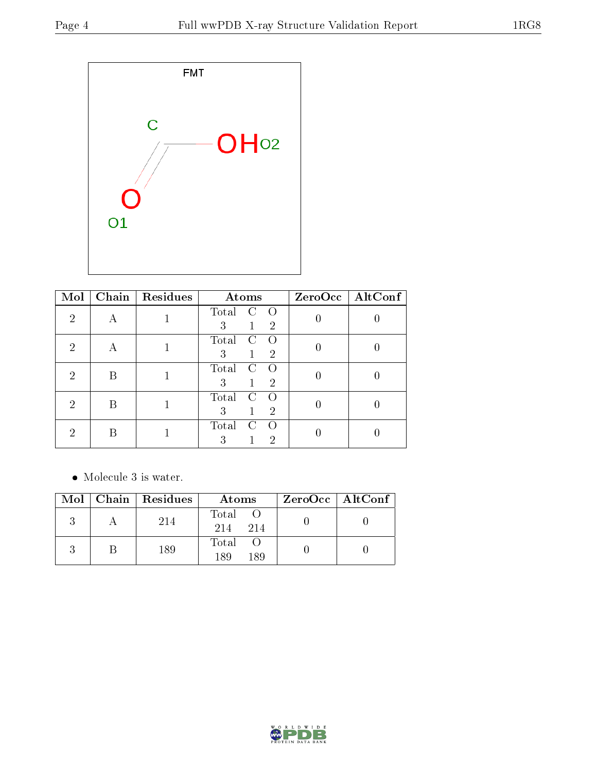

| Mol | Chain | Residues | Atoms                                                                      | ZeroOcc   AltConf |
|-----|-------|----------|----------------------------------------------------------------------------|-------------------|
| 2   |       |          | Total<br>$\left( \cdot \right)$<br>$\left( \right)$<br>3<br>$\overline{2}$ |                   |
| 2   | А     |          | Total<br>$\Omega$<br>C<br>3<br>$\overline{2}$                              |                   |
| 2   | B     |          | Total<br>3<br>$\overline{2}$                                               |                   |
| 9   | В     |          | Total<br>$\mathbf C$<br>3<br>$\overline{2}$                                |                   |
| 2   | R     |          | Total<br>$\mathcal{C}$<br>∩<br>3<br>2                                      |                   |

• Molecule 3 is water.

|  | $Mol$   Chain   Residues | Atoms               | ZeroOcc   AltConf |
|--|--------------------------|---------------------|-------------------|
|  | 214                      | Total<br>214<br>214 |                   |
|  | 189                      | Total<br>189<br>189 |                   |

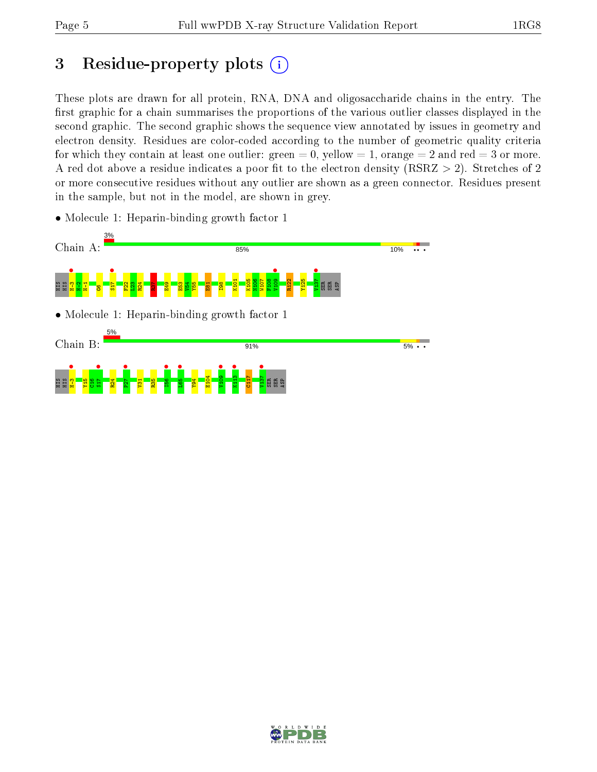# 3 Residue-property plots  $(i)$

These plots are drawn for all protein, RNA, DNA and oligosaccharide chains in the entry. The first graphic for a chain summarises the proportions of the various outlier classes displayed in the second graphic. The second graphic shows the sequence view annotated by issues in geometry and electron density. Residues are color-coded according to the number of geometric quality criteria for which they contain at least one outlier: green  $= 0$ , yellow  $= 1$ , orange  $= 2$  and red  $= 3$  or more. A red dot above a residue indicates a poor fit to the electron density ( $RSRZ > 2$ ). Stretches of 2 or more consecutive residues without any outlier are shown as a green connector. Residues present in the sample, but not in the model, are shown in grey.

• Molecule 1: Heparin-binding growth factor 1



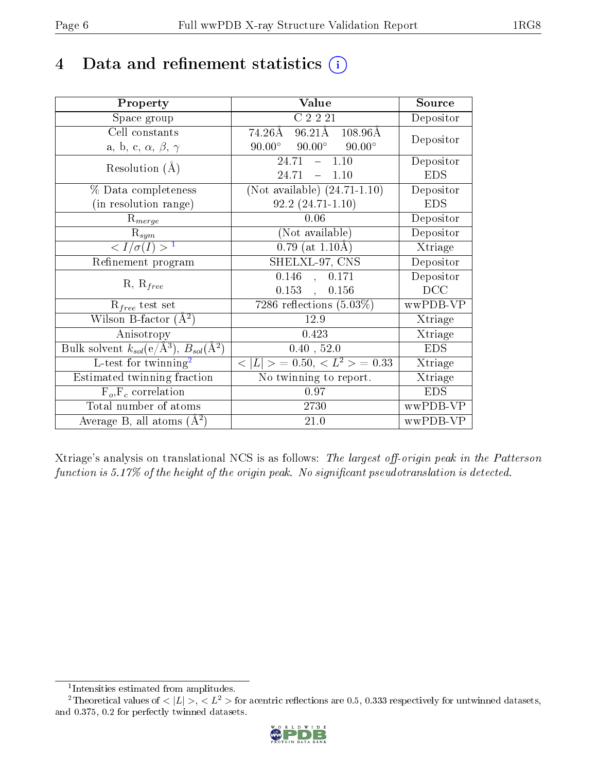# 4 Data and refinement statistics  $(i)$

| Property                                                         | Value                                                     | Source     |
|------------------------------------------------------------------|-----------------------------------------------------------|------------|
| Space group                                                      | C <sub>2</sub> 2 <sub>21</sub>                            | Depositor  |
| Cell constants                                                   | $96.21\text{\AA}$ $108.96\text{\AA}$<br>$74.26\text{\AA}$ | Depositor  |
| a, b, c, $\alpha$ , $\beta$ , $\gamma$                           | $90.00^{\circ}$ $90.00^{\circ}$<br>$90.00^\circ$          |            |
| Resolution $(A)$                                                 | $-1.10$<br>24.71                                          | Depositor  |
|                                                                  | 24.71<br>1.10<br>$\frac{1}{2}$                            | <b>EDS</b> |
| % Data completeness                                              | (Not available) $(24.71-1.10)$                            | Depositor  |
| (in resolution range)                                            | $92.2(24.71-1.10)$                                        | <b>EDS</b> |
| $R_{merge}$                                                      | 0.06                                                      | Depositor  |
| $\mathrm{R}_{sym}$                                               | (Not available)                                           | Depositor  |
| $\langle I/\sigma(I) \rangle^{-1}$                               | $0.79$ (at 1.10Å)                                         | Xtriage    |
| Refinement program                                               | SHELXL-97, CNS                                            | Depositor  |
| $R, R_{free}$                                                    | 0.146<br>0.171<br>$\frac{1}{2}$                           | Depositor  |
|                                                                  | $0.153$ ,<br>0.156                                        | DCC        |
| $R_{free}$ test set                                              | $\overline{7286}$ reflections $(5.03\%)$                  | wwPDB-VP   |
| Wilson B-factor $(A^2)$                                          | 12.9                                                      | Xtriage    |
| Anisotropy                                                       | 0.423                                                     | Xtriage    |
| Bulk solvent $k_{sol}(\text{e}/\text{A}^3), B_{sol}(\text{A}^2)$ | 0.40, 52.0                                                | <b>EDS</b> |
| L-test for twinning <sup>2</sup>                                 | $< L >$ = 0.50, $< L^2 >$ = 0.33                          | Xtriage    |
| Estimated twinning fraction                                      | No twinning to report.                                    | Xtriage    |
| $F_o, F_c$ correlation                                           | 0.97                                                      | <b>EDS</b> |
| Total number of atoms                                            | 2730                                                      | wwPDB-VP   |
| Average B, all atoms $(A^2)$                                     | 21.0                                                      | wwPDB-VP   |

Xtriage's analysis on translational NCS is as follows: The largest off-origin peak in the Patterson function is  $5.17\%$  of the height of the origin peak. No significant pseudotranslation is detected.

<sup>&</sup>lt;sup>2</sup>Theoretical values of  $\langle |L| \rangle$ ,  $\langle L^2 \rangle$  for acentric reflections are 0.5, 0.333 respectively for untwinned datasets, and 0.375, 0.2 for perfectly twinned datasets.



<span id="page-5-1"></span><span id="page-5-0"></span><sup>1</sup> Intensities estimated from amplitudes.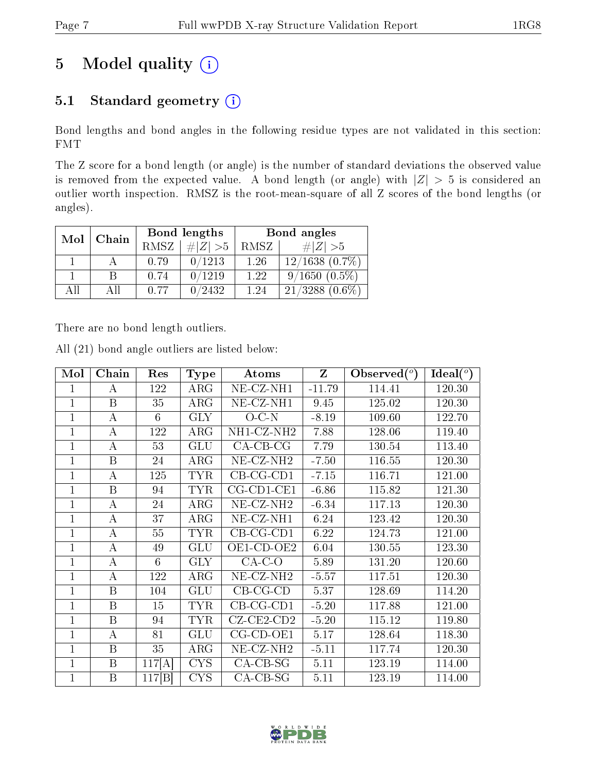# 5 Model quality  $(i)$

## 5.1 Standard geometry (i)

Bond lengths and bond angles in the following residue types are not validated in this section: FMT

The Z score for a bond length (or angle) is the number of standard deviations the observed value is removed from the expected value. A bond length (or angle) with  $|Z| > 5$  is considered an outlier worth inspection. RMSZ is the root-mean-square of all Z scores of the bond lengths (or angles).

| Mol | Chain |             | Bond lengths | Bond angles |                     |  |
|-----|-------|-------------|--------------|-------------|---------------------|--|
|     |       | <b>RMSZ</b> | $\# Z  > 5$  | RMSZ        | # $ Z  > 5$         |  |
|     |       | 0.79        | 0/1213       | 1.26        | $12/1638$ $(0.7\%)$ |  |
|     | B     | 0.74        | 0/1219       | 1.22        | $9/1650(0.5\%)$     |  |
| AII | Αll   | 0.77        | 0/2432       | 1.24        | $21/3288$ $(0.6\%)$ |  |

There are no bond length outliers.

All (21) bond angle outliers are listed below:

| Mol            | Chain | Res    | <b>Type</b> | Atoms                          | $\mathbf{Z}$ | Observed $(°)$ | Ideal $(^\circ)$ |
|----------------|-------|--------|-------------|--------------------------------|--------------|----------------|------------------|
| 1              | А     | 122    | $\rm{ARG}$  | NE-CZ-NH1                      | $-11.79$     | 114.41         | 120.30           |
| $\mathbf{1}$   | B     | 35     | ARG         | NE-CZ-NH1                      | 9.45         | 125.02         | 120.30           |
| $\mathbf{1}$   | А     | 6      | <b>GLY</b>  | $O-C-N$                        | $-8.19$      | 109.60         | 122.70           |
| 1              | А     | 122    | $\rm{ARG}$  | $\overline{\text{NH1-CL-NH2}}$ | 7.88         | 128.06         | 119.40           |
| 1              | А     | 53     | GLU         | $CA$ -CB-CG                    | 7.79         | 130.54         | 113.40           |
| $\mathbf{1}$   | B     | 24     | ARG         | NE-CZ-NH <sub>2</sub>          | $-7.50$      | 116.55         | 120.30           |
| 1              | А     | 125    | <b>TYR</b>  | $CB-CG-CD1$                    | $-7.15$      | 116.71         | 121.00           |
| $\overline{1}$ | B     | 94     | <b>TYR</b>  | $CG$ - $CD$ 1- $CE$ 1          | $-6.86$      | 115.82         | 121.30           |
| $\mathbf{1}$   | А     | 24     | $\rm{ARG}$  | NE-CZ-NH <sub>2</sub>          | $-6.34$      | 117.13         | 120.30           |
| $\mathbf{1}$   | A     | 37     | $\rm{ARG}$  | NE-CZ-NH1                      | 6.24         | 123.42         | 120.30           |
| 1              | А     | 55     | <b>TYR</b>  | $CB-CG-CD1$                    | 6.22         | 124.73         | 121.00           |
| $\mathbf{1}$   | А     | 49     | GLU         | OE1-CD-OE2                     | 6.04         | 130.55         | 123.30           |
| $\mathbf{1}$   | А     | 6      | <b>GLY</b>  | $CA-C-O$                       | 5.89         | 131.20         | 120.60           |
| $\mathbf{1}$   | А     | 122    | $\rm{ARG}$  | NE-CZ-NH <sub>2</sub>          | $-5.57$      | 117.51         | 120.30           |
| $\mathbf{1}$   | B     | 104    | GLU         | $CB-CG-CD$                     | 5.37         | 128.69         | 114.20           |
| $\mathbf{1}$   | B     | 15     | <b>TYR</b>  | $CB-CG-CD1$                    | $-5.20$      | 117.88         | 121.00           |
| $\mathbf{1}$   | B     | 94     | <b>TYR</b>  | $CZ$ - $CE2$ - $CD2$           | $-5.20$      | 115.12         | 119.80           |
| $\mathbf{1}$   | А     | 81     | GLU         | $CG$ - $CD$ - $OE1$            | 5.17         | 128.64         | 118.30           |
| $\mathbf{1}$   | B     | 35     | ARG         | NE-CZ-NH <sub>2</sub>          | $-5.11$      | 117.74         | 120.30           |
| 1              | B     | 117[A] | <b>CYS</b>  | $CA-CB-SG$                     | 5.11         | 123.19         | 114.00           |
| 1              | B     | 117 B  | <b>CYS</b>  | $CA-CB-SG$                     | 5.11         | 123.19         | 114.00           |

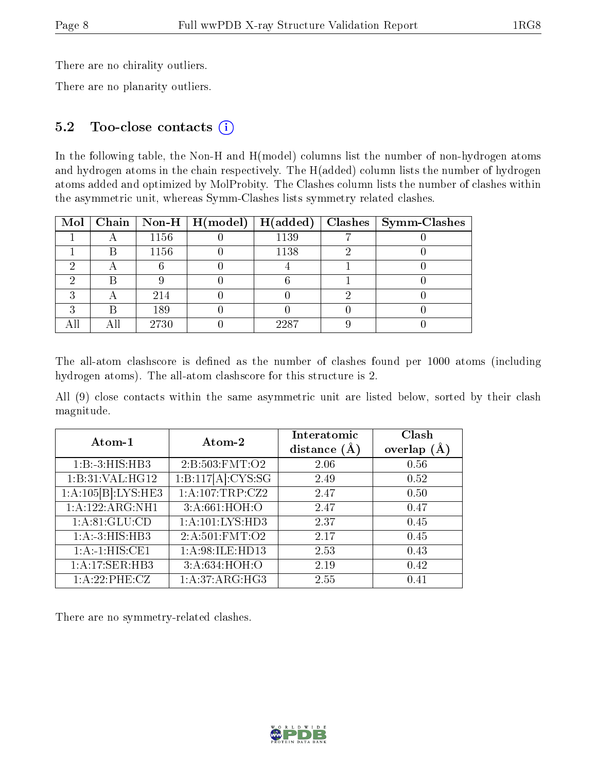There are no chirality outliers.

There are no planarity outliers.

#### 5.2 Too-close contacts (i)

In the following table, the Non-H and H(model) columns list the number of non-hydrogen atoms and hydrogen atoms in the chain respectively. The H(added) column lists the number of hydrogen atoms added and optimized by MolProbity. The Clashes column lists the number of clashes within the asymmetric unit, whereas Symm-Clashes lists symmetry related clashes.

|  |      | Mol   Chain   Non-H   $H (model)$   $H (added)$ |      | $\vert$ Clashes $\vert$ Symm-Clashes |
|--|------|-------------------------------------------------|------|--------------------------------------|
|  | 1156 |                                                 | 1139 |                                      |
|  | 1156 |                                                 | 1138 |                                      |
|  |      |                                                 |      |                                      |
|  |      |                                                 |      |                                      |
|  | 214  |                                                 |      |                                      |
|  | 189  |                                                 |      |                                      |
|  | 2730 |                                                 | 2287 |                                      |

The all-atom clashscore is defined as the number of clashes found per 1000 atoms (including hydrogen atoms). The all-atom clashscore for this structure is 2.

All (9) close contacts within the same asymmetric unit are listed below, sorted by their clash magnitude.

| Atom-1             | Atom-2            | Interatomic<br>distance $(A)$ | Clash<br>overlap $(A)$ |
|--------------------|-------------------|-------------------------------|------------------------|
| 1:B:3:HIS:HB3      | 2: B:503: FMT:O2  | 2.06                          | 0.56                   |
| 1:B:31:VAL:HG12    | 1:B:117[A]:CYS:SG | 2.49                          | 0.52                   |
| 1:A:105[B]:LYS:HE3 | 1: A:107:TRP:CZ2  | 2.47                          | 0.50                   |
| 1:A:122:ARG:NH1    | 3:A:661:HOH:O     | 2.47                          | 0.47                   |
| 1: A:81: GLU:CD    | 1:A:101:LYS:HD3   | 2.37                          | 0.45                   |
| 1:A:3:HIS:HB3      | 2:A:501:FMT:O2    | 2.17                          | 0.45                   |
| 1:A:1:HIS:CE1      | 1:A:98:ILE:HD13   | 2.53                          | 0.43                   |
| 1:A:17:SER:HB3     | 3:A:634:HOH:O     | 2.19                          | 0.42                   |
| 1:A:22:PHE:CZ      | 1:A:37:ARG:HG3    | 2.55                          | 0.41                   |

There are no symmetry-related clashes.

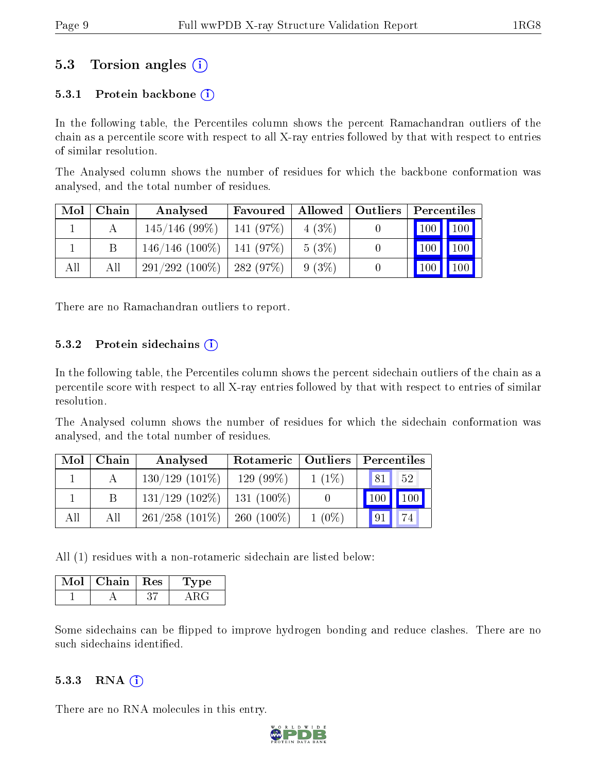## 5.3 Torsion angles (i)

#### 5.3.1 Protein backbone  $(i)$

In the following table, the Percentiles column shows the percent Ramachandran outliers of the chain as a percentile score with respect to all X-ray entries followed by that with respect to entries of similar resolution.

The Analysed column shows the number of residues for which the backbone conformation was analysed, and the total number of residues.

| Mol | Chain | Analysed                       | Favoured        | $\parallel$ Allowed $\parallel$ Outliers | Percentiles                            |
|-----|-------|--------------------------------|-----------------|------------------------------------------|----------------------------------------|
|     |       | $145/146$ (99\%)               | $141(97\%)$     | $4(3\%)$                                 | $\mid$ 100 $\mid$ 100 $\mid$           |
|     |       | $146/146$ (100\%)   141 (97\%) |                 | 5(3%)                                    | $\vert$ 100<br>100                     |
| All | Аll   | $291/292(100\%)$               | $\pm 282$ (97%) | $9(3\%)$                                 | 100 <sup>7</sup><br>$\blacksquare$ 100 |

There are no Ramachandran outliers to report.

#### 5.3.2 Protein sidechains  $(i)$

In the following table, the Percentiles column shows the percent sidechain outliers of the chain as a percentile score with respect to all X-ray entries followed by that with respect to entries of similar resolution.

The Analysed column shows the number of residues for which the sidechain conformation was analysed, and the total number of residues.

| Mol | Chain | Analysed          | Rotameric   Outliers |          | Percentiles          |  |  |
|-----|-------|-------------------|----------------------|----------|----------------------|--|--|
|     |       | $130/129$ (101\%) | $129(99\%)$          | $1(1\%)$ | 52<br>$\sqrt{81}$    |  |  |
|     | B     | $131/129$ (102\%) | 131 $(100\%)$        |          | $\boxed{100}$<br>100 |  |  |
| All | All   | $261/258$ (101\%) | 260 $(100\%)$        | $1(0\%)$ | 91                   |  |  |

All (1) residues with a non-rotameric sidechain are listed below:

| Mol | Chain   Res | ype |
|-----|-------------|-----|
|     |             |     |

Some sidechains can be flipped to improve hydrogen bonding and reduce clashes. There are no such sidechains identified.

#### $5.3.3$  RNA  $(i)$

There are no RNA molecules in this entry.

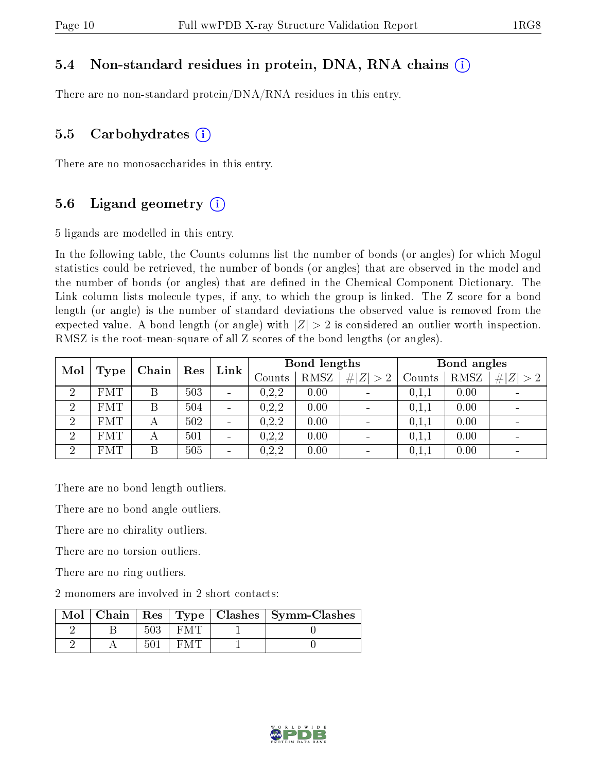#### 5.4 Non-standard residues in protein, DNA, RNA chains (i)

There are no non-standard protein/DNA/RNA residues in this entry.

#### 5.5 Carbohydrates  $(i)$

There are no monosaccharides in this entry.

#### 5.6 Ligand geometry  $(i)$

5 ligands are modelled in this entry.

In the following table, the Counts columns list the number of bonds (or angles) for which Mogul statistics could be retrieved, the number of bonds (or angles) that are observed in the model and the number of bonds (or angles) that are dened in the Chemical Component Dictionary. The Link column lists molecule types, if any, to which the group is linked. The Z score for a bond length (or angle) is the number of standard deviations the observed value is removed from the expected value. A bond length (or angle) with  $|Z| > 2$  is considered an outlier worth inspection. RMSZ is the root-mean-square of all Z scores of the bond lengths (or angles).

| Mol            |            | Res<br>Chain |     |                              | Bond lengths<br>Link |               |             | Bond angles |        |      |             |
|----------------|------------|--------------|-----|------------------------------|----------------------|---------------|-------------|-------------|--------|------|-------------|
|                | Type       |              |     |                              |                      | $\rm{Counts}$ | <b>RMSZ</b> | # $ Z  > 2$ | Counts | RMSZ | # $ Z  > 2$ |
| $\overline{2}$ | <b>FMT</b> | В            | 503 | $\qquad \qquad \blacksquare$ | 0.2.2                | 0.00          |             | 0.1,1       | 0.00   |      |             |
| $\overline{2}$ | <b>FMT</b> | Β            | 504 | $\qquad \qquad \blacksquare$ | 0,2,2                | 0.00          |             | 0,1,1       | 0.00   |      |             |
| $\overline{2}$ | FMT        |              | 502 | $\qquad \qquad \blacksquare$ | 0,2,2                | 0.00          |             | 0,1,1       | 0.00   |      |             |
| $\overline{2}$ | <b>FMT</b> | А            | 501 | $\qquad \qquad \blacksquare$ | 0, 2, 2              | 0.00          |             | 0,1,1       | 0.00   |      |             |
| $\overline{2}$ | <b>FMT</b> | B            | 505 | $\overline{\phantom{a}}$     | 0, 2, 2              | 0.00          |             | 0,1,1       | 0.00   |      |             |

There are no bond length outliers.

There are no bond angle outliers.

There are no chirality outliers.

There are no torsion outliers.

There are no ring outliers.

2 monomers are involved in 2 short contacts:

| $Mol \parallel$ |  |  | $\vert$ Chain $\vert$ Res $\vert$ Type $\vert$ Clashes $\vert$ Symm-Clashes |
|-----------------|--|--|-----------------------------------------------------------------------------|
|                 |  |  |                                                                             |
|                 |  |  |                                                                             |

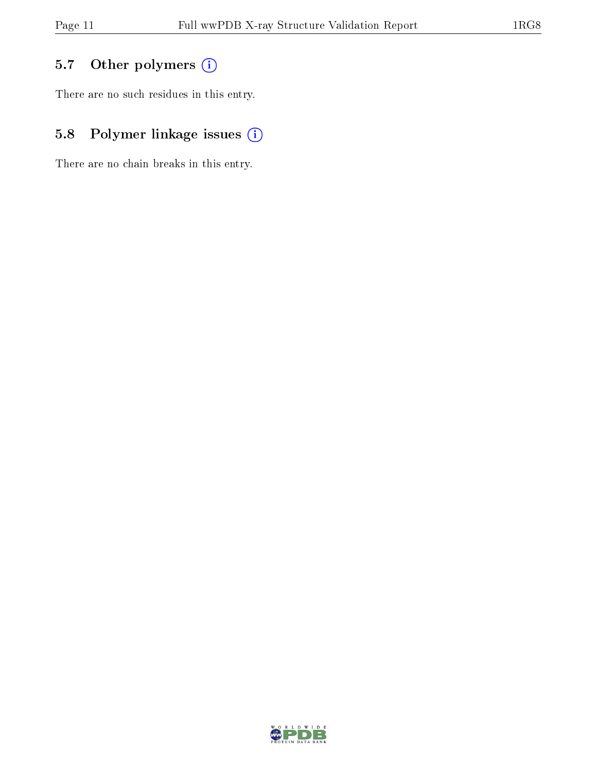## 5.7 [O](https://www.wwpdb.org/validation/2017/XrayValidationReportHelp#nonstandard_residues_and_ligands)ther polymers (i)

There are no such residues in this entry.

## 5.8 Polymer linkage issues (i)

There are no chain breaks in this entry.

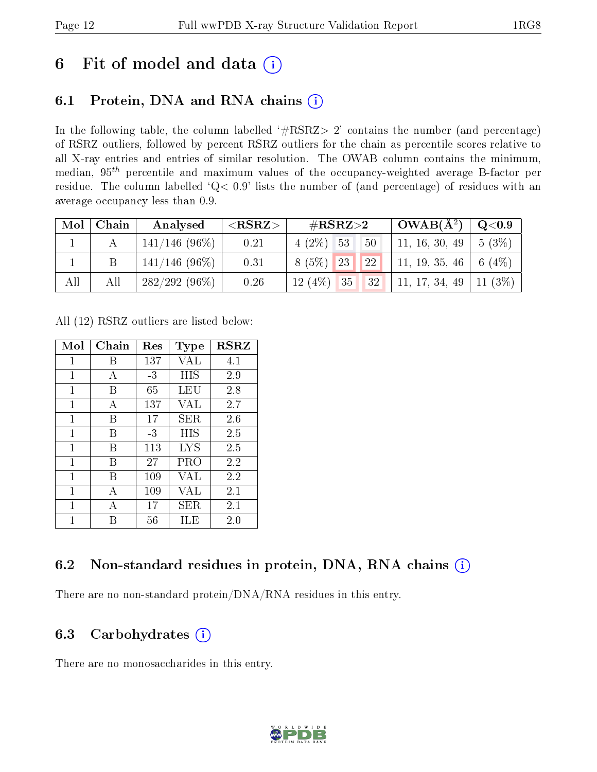# 6 Fit of model and data  $(i)$

## 6.1 Protein, DNA and RNA chains  $(i)$

In the following table, the column labelled  $#RSRZ> 2'$  contains the number (and percentage) of RSRZ outliers, followed by percent RSRZ outliers for the chain as percentile scores relative to all X-ray entries and entries of similar resolution. The OWAB column contains the minimum, median,  $95<sup>th</sup>$  percentile and maximum values of the occupancy-weighted average B-factor per residue. The column labelled ' $Q< 0.9$ ' lists the number of (and percentage) of residues with an average occupancy less than 0.9.

|     | $Mol$   Chain | Analysed                  | $<$ RSRZ $>$ | $\rm \#RSRZ{>}2$                       | $\sqrt{\text{OWAB}(\text{A}^2)}$ $\mid$ Q<0.9 |  |
|-----|---------------|---------------------------|--------------|----------------------------------------|-----------------------------------------------|--|
|     |               | $\pm 141/146$ (96%) $\pm$ | 0.21         | $4(2\%)$ 53 50                         | 11, 16, 30, 49   5 (3%)                       |  |
|     |               | 141/146 (96%)             | 0.31         | $8(5\%)$ 23 22 11, 19, 35, 46 6 (4\%)  |                                               |  |
| All | All           | $282/292(96\%)$           | 0.26         | $12(4\%)$ 35 32 11, 17, 34, 49 11 (3%) |                                               |  |

All (12) RSRZ outliers are listed below:

| Mol          | Chain | Res  | Type | <b>RSRZ</b> |
|--------------|-------|------|------|-------------|
| 1            | B     | 137  | VAL  | 4.1         |
| 1            | А     | $-3$ | HIS  | 2.9         |
| 1            | В     | 65   | LEU  | 2.8         |
| $\mathbf{1}$ | А     | 137  | VAL  | 2.7         |
| 1            | В     | 17   | SER  | 2.6         |
| 1            | В     | $-3$ | HIS  | 2.5         |
| 1            | В     | 113  | LYS  | 2.5         |
| 1            | В     | 27   | PRO  | 2.2         |
| 1            | В     | 109  | VAL  | 2.2         |
| 1            | А     | 109  | VAL  | 2.1         |
| 1            | А     | 17   | SER  | 2.1         |
| 1            | R     | 56   | ILE  | 2.0         |

## 6.2 Non-standard residues in protein, DNA, RNA chains  $(i)$

There are no non-standard protein/DNA/RNA residues in this entry.

### 6.3 Carbohydrates  $(i)$

There are no monosaccharides in this entry.